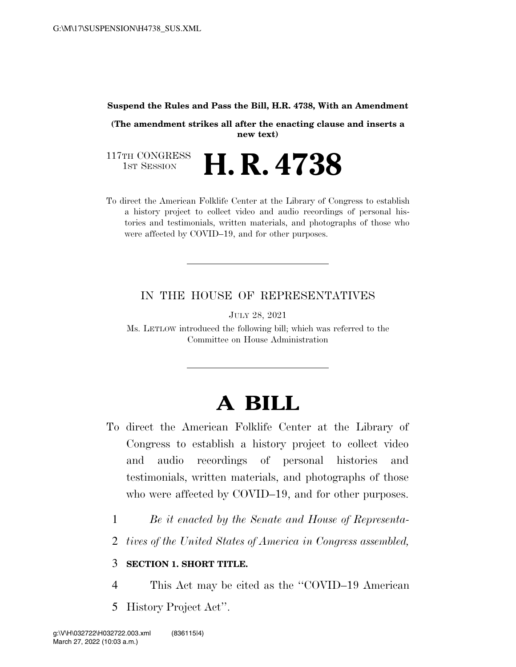#### **Suspend the Rules and Pass the Bill, H.R. 4738, With an Amendment**

**(The amendment strikes all after the enacting clause and inserts a new text)** 

117TH CONGRESS<br>1st Session H. R. 4738

To direct the American Folklife Center at the Library of Congress to establish a history project to collect video and audio recordings of personal histories and testimonials, written materials, and photographs of those who were affected by COVID–19, and for other purposes.

## IN THE HOUSE OF REPRESENTATIVES

JULY 28, 2021

Ms. LETLOW introduced the following bill; which was referred to the Committee on House Administration

# **A BILL**

- To direct the American Folklife Center at the Library of Congress to establish a history project to collect video and audio recordings of personal histories and testimonials, written materials, and photographs of those who were affected by COVID–19, and for other purposes.
	- 1 *Be it enacted by the Senate and House of Representa-*
	- 2 *tives of the United States of America in Congress assembled,*

#### 3 **SECTION 1. SHORT TITLE.**

- 4 This Act may be cited as the ''COVID–19 American
- 5 History Project Act''.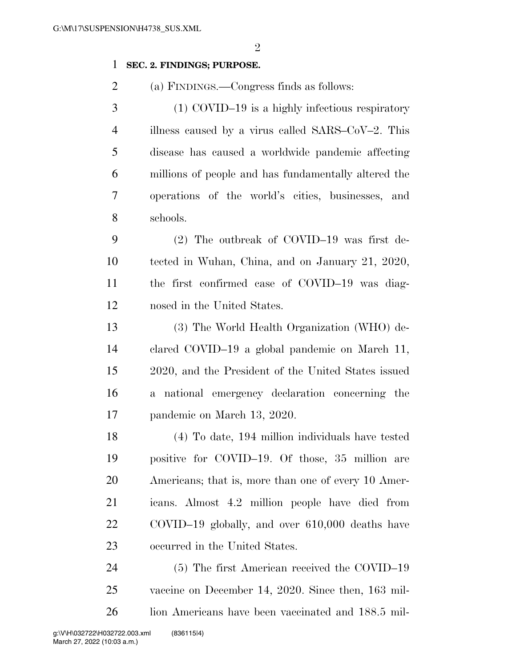$\mathfrak{D}$ 

### **SEC. 2. FINDINGS; PURPOSE.**

(a) FINDINGS.—Congress finds as follows:

 (1) COVID–19 is a highly infectious respiratory illness caused by a virus called SARS–CoV–2. This disease has caused a worldwide pandemic affecting millions of people and has fundamentally altered the operations of the world's cities, businesses, and schools.

 (2) The outbreak of COVID–19 was first de- tected in Wuhan, China, and on January 21, 2020, the first confirmed case of COVID–19 was diag-nosed in the United States.

 (3) The World Health Organization (WHO) de- clared COVID–19 a global pandemic on March 11, 2020, and the President of the United States issued a national emergency declaration concerning the pandemic on March 13, 2020.

 (4) To date, 194 million individuals have tested positive for COVID–19. Of those, 35 million are Americans; that is, more than one of every 10 Amer- icans. Almost 4.2 million people have died from COVID–19 globally, and over 610,000 deaths have occurred in the United States.

 (5) The first American received the COVID–19 vaccine on December 14, 2020. Since then, 163 mil-lion Americans have been vaccinated and 188.5 mil-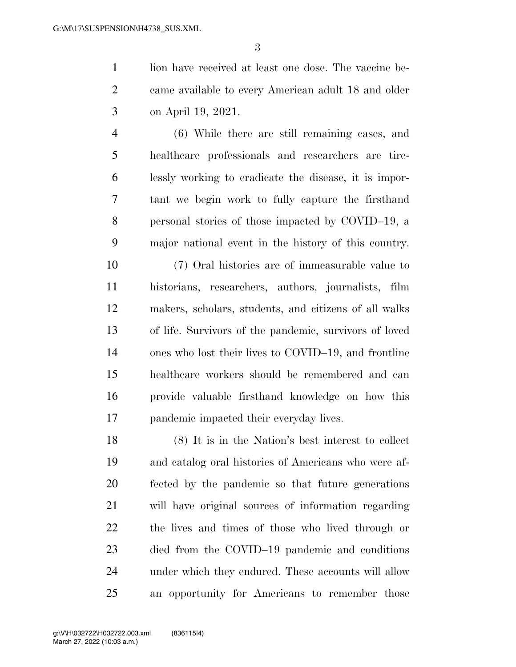1 lion have received at least one dose. The vaccine be- came available to every American adult 18 and older on April 19, 2021.

 (6) While there are still remaining cases, and healthcare professionals and researchers are tire- lessly working to eradicate the disease, it is impor- tant we begin work to fully capture the firsthand personal stories of those impacted by COVID–19, a major national event in the history of this country.

 (7) Oral histories are of immeasurable value to historians, researchers, authors, journalists, film makers, scholars, students, and citizens of all walks of life. Survivors of the pandemic, survivors of loved ones who lost their lives to COVID–19, and frontline healthcare workers should be remembered and can provide valuable firsthand knowledge on how this pandemic impacted their everyday lives.

 (8) It is in the Nation's best interest to collect and catalog oral histories of Americans who were af- fected by the pandemic so that future generations will have original sources of information regarding the lives and times of those who lived through or died from the COVID–19 pandemic and conditions under which they endured. These accounts will allow an opportunity for Americans to remember those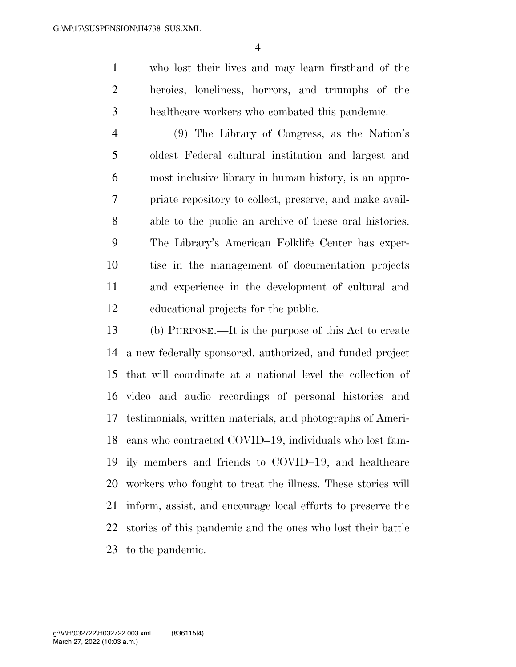who lost their lives and may learn firsthand of the heroics, loneliness, horrors, and triumphs of the healthcare workers who combated this pandemic.

 (9) The Library of Congress, as the Nation's oldest Federal cultural institution and largest and most inclusive library in human history, is an appro- priate repository to collect, preserve, and make avail- able to the public an archive of these oral histories. The Library's American Folklife Center has exper- tise in the management of documentation projects and experience in the development of cultural and educational projects for the public.

 (b) PURPOSE.—It is the purpose of this Act to create a new federally sponsored, authorized, and funded project that will coordinate at a national level the collection of video and audio recordings of personal histories and testimonials, written materials, and photographs of Ameri- cans who contracted COVID–19, individuals who lost fam- ily members and friends to COVID–19, and healthcare workers who fought to treat the illness. These stories will inform, assist, and encourage local efforts to preserve the stories of this pandemic and the ones who lost their battle to the pandemic.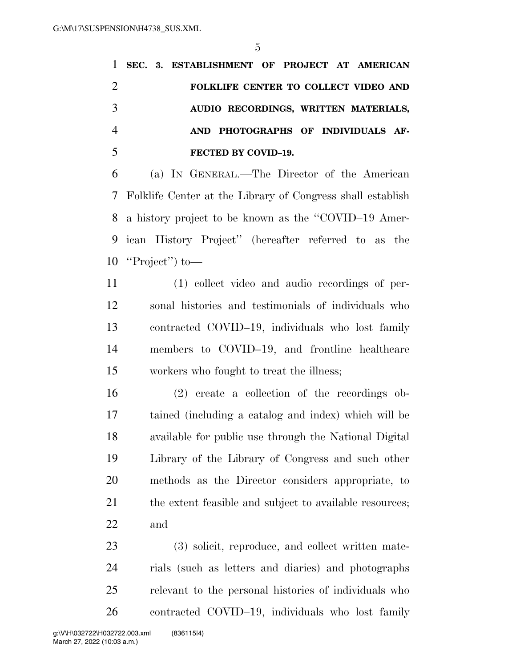|                |  | 1 SEC. 3. ESTABLISHMENT OF PROJECT AT AMERICAN |  |
|----------------|--|------------------------------------------------|--|
| 2              |  | FOLKLIFE CENTER TO COLLECT VIDEO AND           |  |
| 3              |  | AUDIO RECORDINGS, WRITTEN MATERIALS,           |  |
| $\overline{4}$ |  | AND PHOTOGRAPHS OF INDIVIDUALS AF-             |  |
|                |  | FECTED BY COVID-19.                            |  |

 (a) IN GENERAL.—The Director of the American Folklife Center at the Library of Congress shall establish a history project to be known as the ''COVID–19 Amer- ican History Project'' (hereafter referred to as the ''Project'') to—

 (1) collect video and audio recordings of per- sonal histories and testimonials of individuals who contracted COVID–19, individuals who lost family members to COVID–19, and frontline healthcare workers who fought to treat the illness;

 (2) create a collection of the recordings ob- tained (including a catalog and index) which will be available for public use through the National Digital Library of the Library of Congress and such other methods as the Director considers appropriate, to 21 the extent feasible and subject to available resources; and

 (3) solicit, reproduce, and collect written mate- rials (such as letters and diaries) and photographs relevant to the personal histories of individuals who contracted COVID–19, individuals who lost family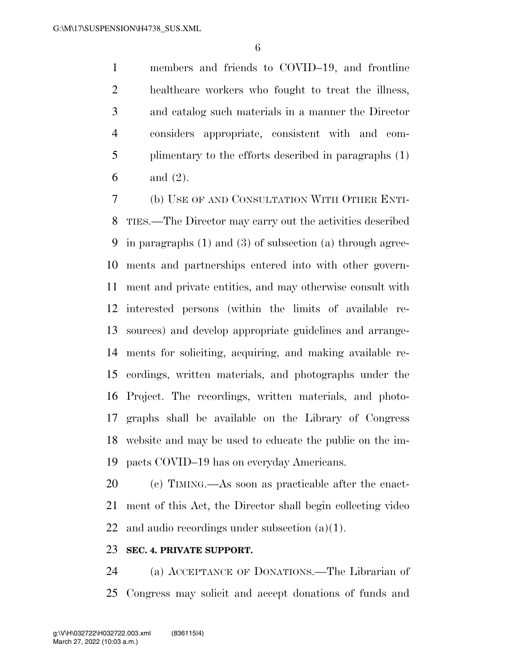members and friends to COVID–19, and frontline healthcare workers who fought to treat the illness, and catalog such materials in a manner the Director considers appropriate, consistent with and com- plimentary to the efforts described in paragraphs (1) and (2).

 (b) USE OF AND CONSULTATION WITH OTHER ENTI- TIES.—The Director may carry out the activities described in paragraphs (1) and (3) of subsection (a) through agree- ments and partnerships entered into with other govern- ment and private entities, and may otherwise consult with interested persons (within the limits of available re- sources) and develop appropriate guidelines and arrange- ments for soliciting, acquiring, and making available re- cordings, written materials, and photographs under the Project. The recordings, written materials, and photo- graphs shall be available on the Library of Congress website and may be used to educate the public on the im-pacts COVID–19 has on everyday Americans.

 (c) TIMING.—As soon as practicable after the enact- ment of this Act, the Director shall begin collecting video 22 and audio recordings under subsection  $(a)(1)$ .

#### **SEC. 4. PRIVATE SUPPORT.**

 (a) ACCEPTANCE OF DONATIONS.—The Librarian of Congress may solicit and accept donations of funds and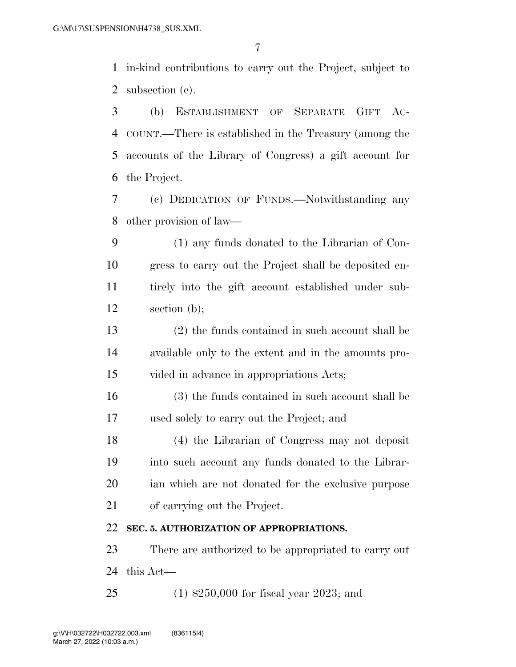in-kind contributions to carry out the Project, subject to subsection (c).

 (b) ESTABLISHMENT OF SEPARATE GIFT AC- COUNT.—There is established in the Treasury (among the accounts of the Library of Congress) a gift account for the Project.

 (c) DEDICATION OF FUNDS.—Notwithstanding any other provision of law—

 (1) any funds donated to the Librarian of Con- gress to carry out the Project shall be deposited en- tirely into the gift account established under sub-section (b);

 (2) the funds contained in such account shall be available only to the extent and in the amounts pro-vided in advance in appropriations Acts;

 (3) the funds contained in such account shall be used solely to carry out the Project; and

 (4) the Librarian of Congress may not deposit into such account any funds donated to the Librar- ian which are not donated for the exclusive purpose of carrying out the Project.

## **SEC. 5. AUTHORIZATION OF APPROPRIATIONS.**

 There are authorized to be appropriated to carry out this Act—

(1) \$250,000 for fiscal year 2023; and